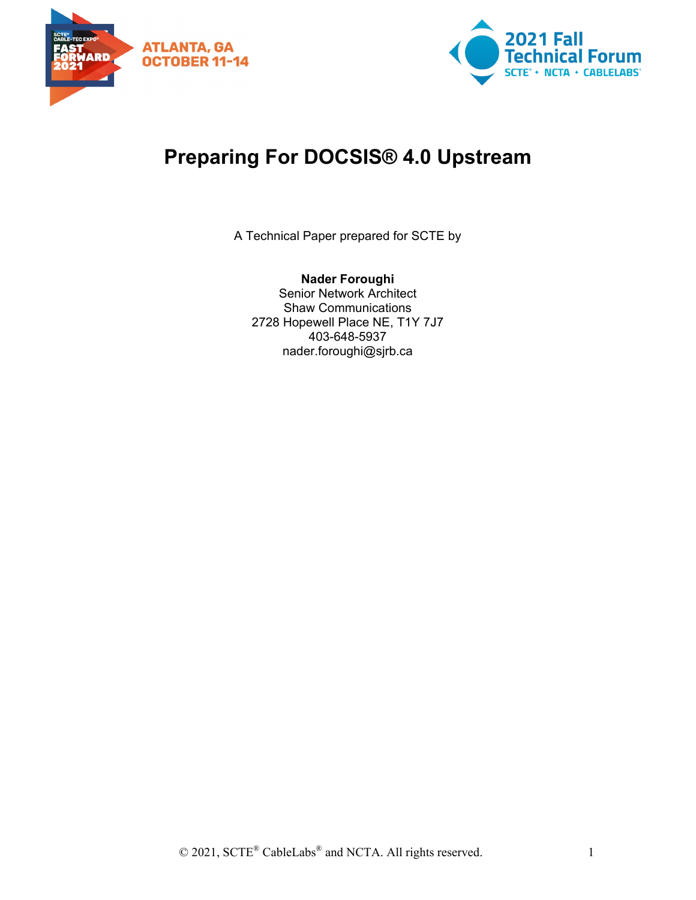



# **Preparing For DOCSIS® 4.0 Upstream**

A Technical Paper prepared for SCTE by

**Nader Foroughi** Senior Network Architect Shaw Communications 2728 Hopewell Place NE, T1Y 7J7 403-648-5937 nader.foroughi@sjrb.ca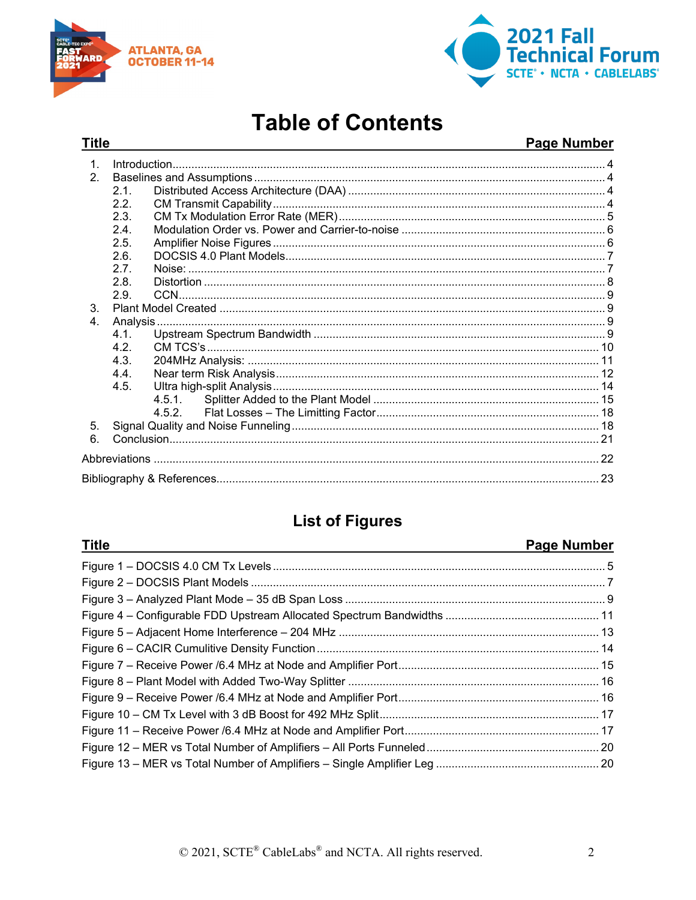

**Title** 



# **Table of Contents**

## Page Number

| 1 <sub>1</sub> |      |  |
|----------------|------|--|
| 2.             |      |  |
|                | 2.1. |  |
|                | 2.2. |  |
|                | 2.3. |  |
|                | 2.4. |  |
|                | 2.5. |  |
|                | 2.6. |  |
|                | 2.7. |  |
|                | 2.8. |  |
|                | 2.9. |  |
| 3 <sub>1</sub> |      |  |
| 4.             |      |  |
|                | 4.1  |  |
|                | 4.2. |  |
|                | 4.3. |  |
|                | 4.4. |  |
|                | 4.5. |  |
|                |      |  |
|                |      |  |
| 5.             |      |  |
| 6              |      |  |
|                |      |  |
|                |      |  |

# **List of Figures**

| <b>Title</b> | <b>Page Number</b> |
|--------------|--------------------|
|              |                    |
|              |                    |
|              |                    |
|              |                    |
|              |                    |
|              |                    |
|              |                    |
|              |                    |
|              |                    |
|              |                    |
|              |                    |
|              |                    |
|              |                    |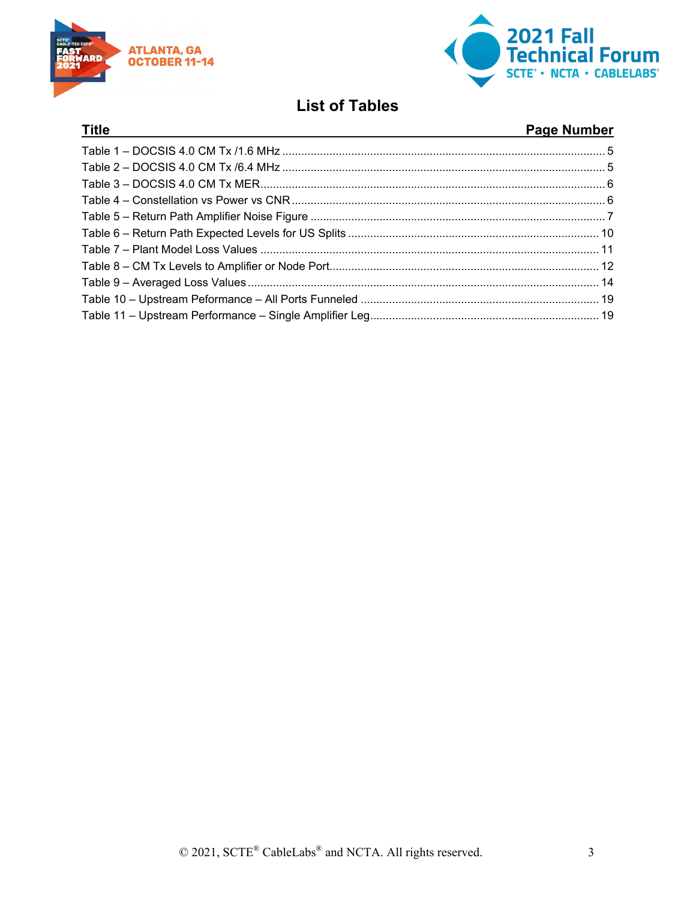

**Title** 



# **List of Tables**

# Page Number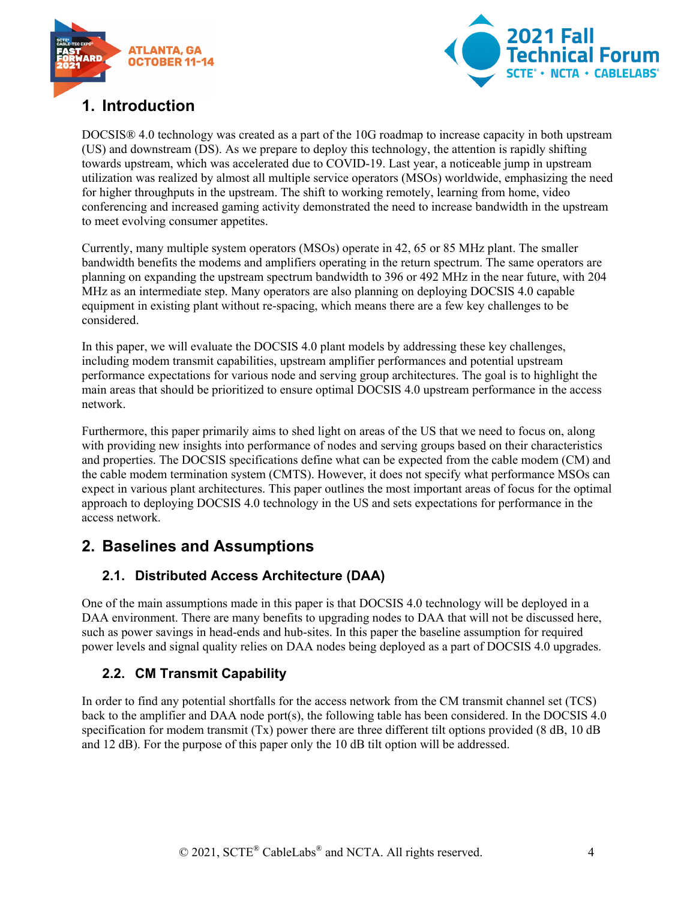



# <span id="page-3-0"></span>**1. Introduction**

DOCSIS® 4.0 technology was created as a part of the 10G roadmap to increase capacity in both upstream (US) and downstream (DS). As we prepare to deploy this technology, the attention is rapidly shifting towards upstream, which was accelerated due to COVID-19. Last year, a noticeable jump in upstream utilization was realized by almost all multiple service operators (MSOs) worldwide, emphasizing the need for higher throughputs in the upstream. The shift to working remotely, learning from home, video conferencing and increased gaming activity demonstrated the need to increase bandwidth in the upstream to meet evolving consumer appetites.

Currently, many multiple system operators (MSOs) operate in 42, 65 or 85 MHz plant. The smaller bandwidth benefits the modems and amplifiers operating in the return spectrum. The same operators are planning on expanding the upstream spectrum bandwidth to 396 or 492 MHz in the near future, with 204 MHz as an intermediate step. Many operators are also planning on deploying DOCSIS 4.0 capable equipment in existing plant without re-spacing, which means there are a few key challenges to be considered.

In this paper, we will evaluate the DOCSIS 4.0 plant models by addressing these key challenges, including modem transmit capabilities, upstream amplifier performances and potential upstream performance expectations for various node and serving group architectures. The goal is to highlight the main areas that should be prioritized to ensure optimal DOCSIS 4.0 upstream performance in the access network.

Furthermore, this paper primarily aims to shed light on areas of the US that we need to focus on, along with providing new insights into performance of nodes and serving groups based on their characteristics and properties. The DOCSIS specifications define what can be expected from the cable modem (CM) and the cable modem termination system (CMTS). However, it does not specify what performance MSOs can expect in various plant architectures. This paper outlines the most important areas of focus for the optimal approach to deploying DOCSIS 4.0 technology in the US and sets expectations for performance in the access network.

# <span id="page-3-2"></span><span id="page-3-1"></span>**2. Baselines and Assumptions**

## **2.1. Distributed Access Architecture (DAA)**

One of the main assumptions made in this paper is that DOCSIS 4.0 technology will be deployed in a DAA environment. There are many benefits to upgrading nodes to DAA that will not be discussed here, such as power savings in head-ends and hub-sites. In this paper the baseline assumption for required power levels and signal quality relies on DAA nodes being deployed as a part of DOCSIS 4.0 upgrades.

## <span id="page-3-3"></span>**2.2. CM Transmit Capability**

In order to find any potential shortfalls for the access network from the CM transmit channel set (TCS) back to the amplifier and DAA node port(s), the following table has been considered. In the DOCSIS 4.0 specification for modem transmit (Tx) power there are three different tilt options provided (8 dB, 10 dB) and 12 dB). For the purpose of this paper only the 10 dB tilt option will be addressed.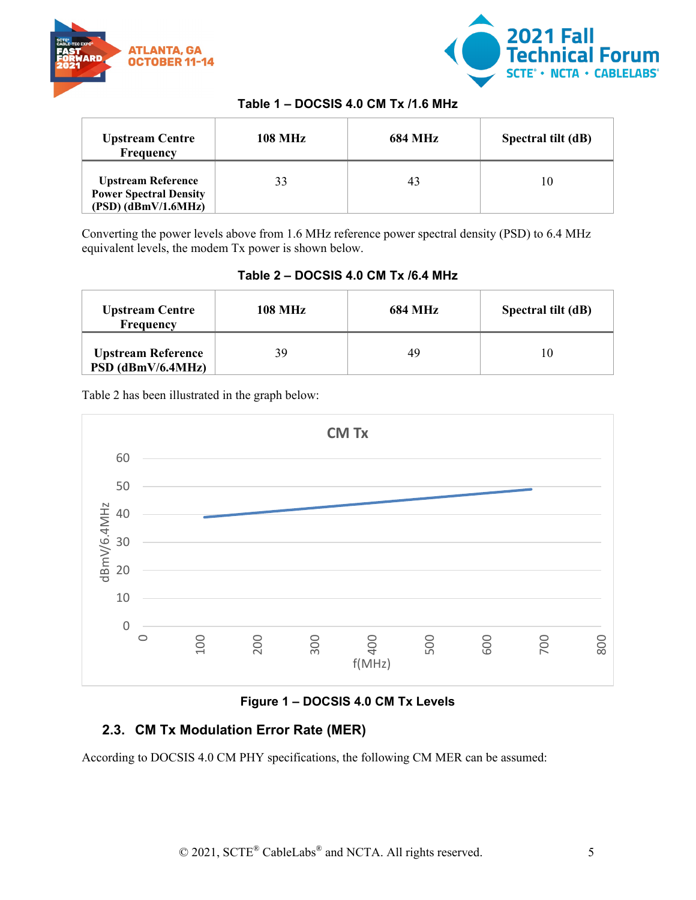



#### **Table 1 – DOCSIS 4.0 CM Tx /1.6 MHz**

<span id="page-4-2"></span>

| <b>Upstream Centre</b><br><b>Frequency</b>                                          | <b>108 MHz</b> | <b>684 MHz</b> | Spectral tilt (dB) |
|-------------------------------------------------------------------------------------|----------------|----------------|--------------------|
| <b>Upstream Reference</b><br><b>Power Spectral Density</b><br>$(PSD)$ (dBmV/1.6MHz) |                | 43             | ۱0                 |

<span id="page-4-3"></span>Converting the power levels above from 1.6 MHz reference power spectral density (PSD) to 6.4 MHz equivalent levels, the modem Tx power is shown below.

**Table 2 – DOCSIS 4.0 CM Tx /6.4 MHz**

| <b>108 MHz</b><br><b>Upstream Centre</b><br>Frequency |    | <b>684 MHz</b> | Spectral tilt (dB) |
|-------------------------------------------------------|----|----------------|--------------------|
| <b>Upstream Reference</b><br>$PSD$ (dBmV/6.4MHz)      | 39 | 49             |                    |

Table 2 has been illustrated in the graph below:



## **Figure 1 – DOCSIS 4.0 CM Tx Levels**

## <span id="page-4-1"></span><span id="page-4-0"></span>**2.3. CM Tx Modulation Error Rate (MER)**

According to DOCSIS 4.0 CM PHY specifications, the following CM MER can be assumed: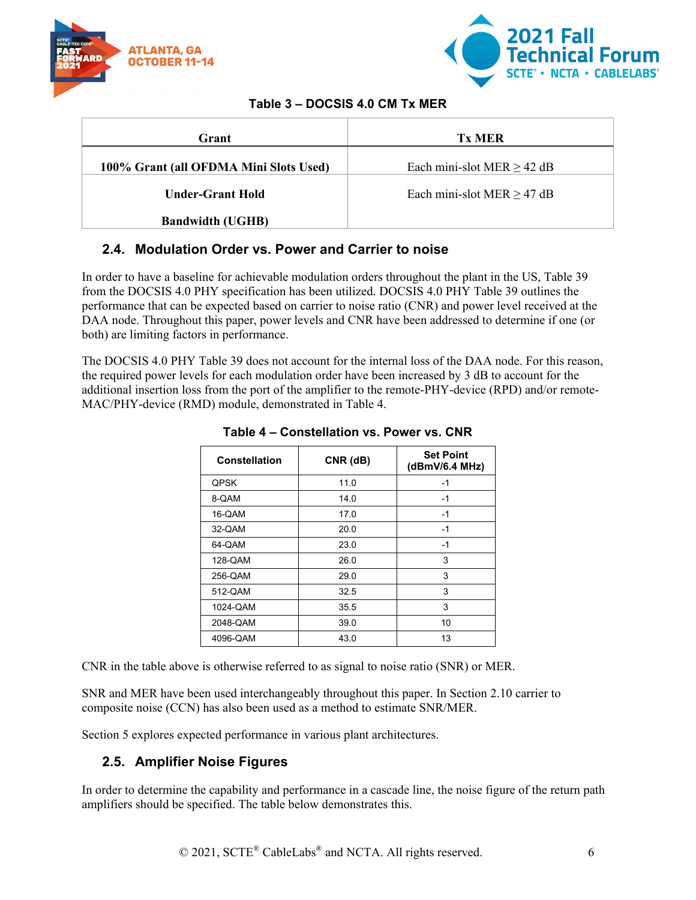



#### **Table 3 – DOCSIS 4.0 CM Tx MER**

<span id="page-5-2"></span>

| Grant                                  | <b>Tx MER</b>                   |
|----------------------------------------|---------------------------------|
| 100% Grant (all OFDMA Mini Slots Used) | Each mini-slot MER $\geq$ 42 dB |
| <b>Under-Grant Hold</b>                | Each mini-slot MER $\geq$ 47 dB |
| <b>Bandwidth (UGHB)</b>                |                                 |

## <span id="page-5-0"></span>**2.4. Modulation Order vs. Power and Carrier to noise**

In order to have a baseline for achievable modulation orders throughout the plant in the US, Table 39 from the DOCSIS 4.0 PHY specification has been utilized. DOCSIS 4.0 PHY Table 39 outlines the performance that can be expected based on carrier to noise ratio (CNR) and power level received at the DAA node. Throughout this paper, power levels and CNR have been addressed to determine if one (or both) are limiting factors in performance.

<span id="page-5-3"></span>The DOCSIS 4.0 PHY Table 39 does not account for the internal loss of the DAA node. For this reason, the required power levels for each modulation order have been increased by 3 dB to account for the additional insertion loss from the port of the amplifier to the remote-PHY-device (RPD) and/or remote-MAC/PHY-device (RMD) module, demonstrated in Table 4.

| Constellation | CNR (dB) | <b>Set Point</b><br>(dBmV/6.4 MHz) |
|---------------|----------|------------------------------------|
| QPSK          | 11.0     | -1                                 |
| 8-QAM         | 14.0     | $-1$                               |
| 16-QAM        | 17.0     | $-1$                               |
| 32-QAM        | 20.0     | $-1$                               |
| 64-QAM        | 23.0     | $-1$                               |
| 128-QAM       | 26.0     | 3                                  |
| 256-QAM       | 29.0     | 3                                  |
| 512-QAM       | 32.5     | 3                                  |
| 1024-QAM      | 35.5     | 3                                  |
| 2048-QAM      | 39.0     | 10                                 |
| 4096-QAM      | 43.0     | 13                                 |

**Table 4 – Constellation vs. Power vs. CNR**

CNR in the table above is otherwise referred to as signal to noise ratio (SNR) or MER.

SNR and MER have been used interchangeably throughout this paper. In Section 2.10 carrier to composite noise (CCN) has also been used as a method to estimate SNR/MER.

<span id="page-5-1"></span>Section 5 explores expected performance in various plant architectures.

## **2.5. Amplifier Noise Figures**

In order to determine the capability and performance in a cascade line, the noise figure of the return path amplifiers should be specified. The table below demonstrates this.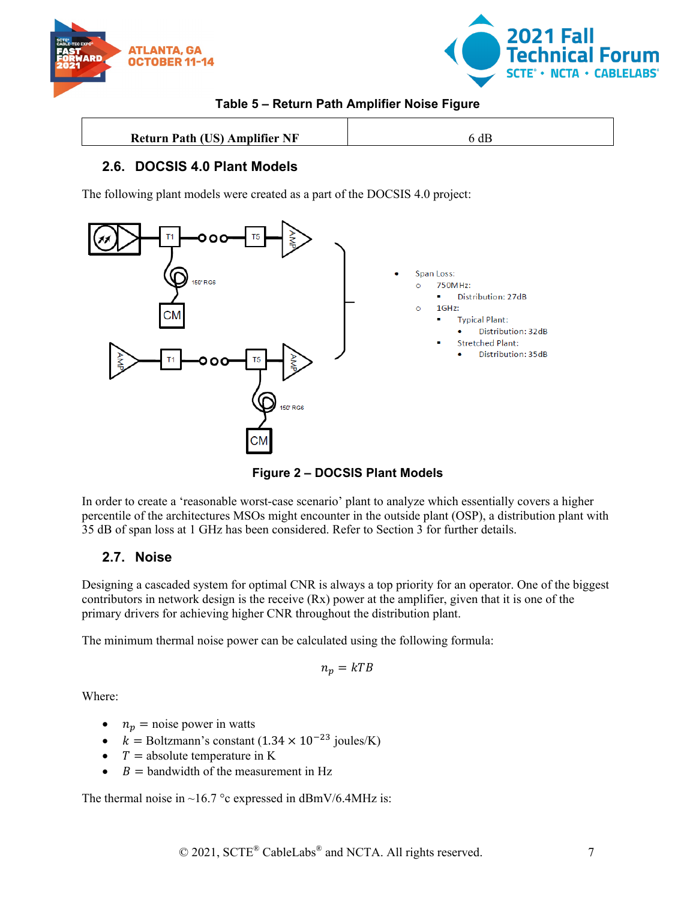



## **Table 5 – Return Path Amplifier Noise Figure**

<span id="page-6-3"></span>

| <b>Return Path (US) Amplifier NF</b> | αE |
|--------------------------------------|----|

## <span id="page-6-0"></span>**2.6. DOCSIS 4.0 Plant Models**

The following plant models were created as a part of the DOCSIS 4.0 project:



**Figure 2 – DOCSIS Plant Models**

<span id="page-6-2"></span>In order to create a 'reasonable worst-case scenario' plant to analyze which essentially covers a higher percentile of the architectures MSOs might encounter in the outside plant (OSP), a distribution plant with 35 dB of span loss at 1 GHz has been considered. Refer to Section 3 for further details.

## <span id="page-6-1"></span>**2.7. Noise**

Designing a cascaded system for optimal CNR is always a top priority for an operator. One of the biggest contributors in network design is the receive (Rx) power at the amplifier, given that it is one of the primary drivers for achieving higher CNR throughout the distribution plant.

The minimum thermal noise power can be calculated using the following formula:

$$
n_p = kTB
$$

Where:

- $n_p$  = noise power in watts
- $k =$  Boltzmann's constant (1.34 × 10<sup>-23</sup> joules/K)
- $T =$  absolute temperature in K
- $B =$  bandwidth of the measurement in Hz

The thermal noise in  $\sim$ 16.7 °c expressed in dBmV/6.4MHz is: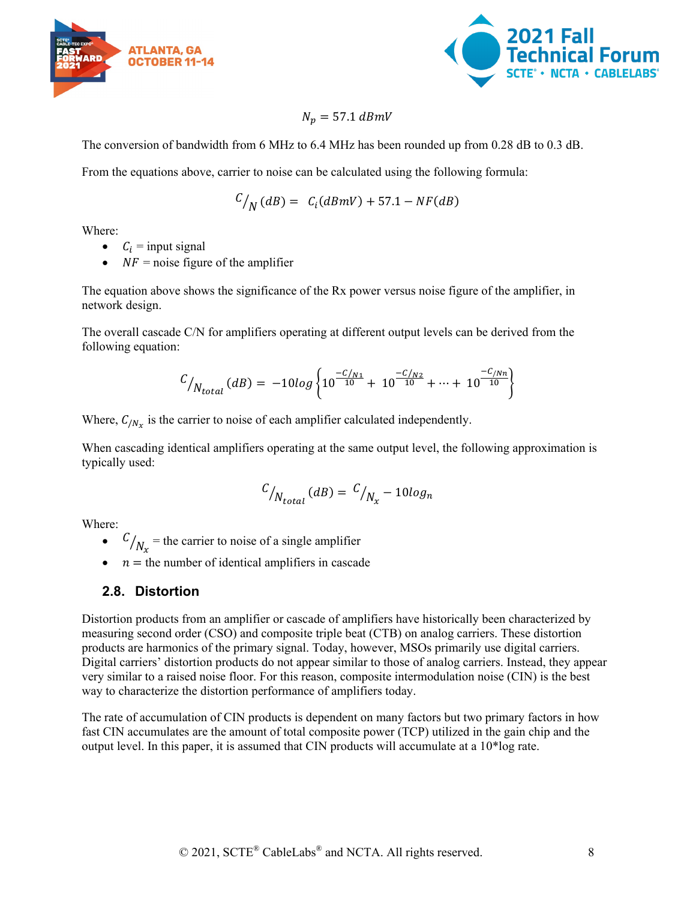



#### $N_n = 57.1$  dBmV

The conversion of bandwidth from 6 MHz to 6.4 MHz has been rounded up from 0.28 dB to 0.3 dB.

From the equations above, carrier to noise can be calculated using the following formula:

$$
C_{N}(dB) = C_{i}(dBmV) + 57.1 - NF(dB)
$$

Where:

- $C_i$  = input signal
- $NF$  = noise figure of the amplifier

The equation above shows the significance of the Rx power versus noise figure of the amplifier, in network design.

The overall cascade C/N for amplifiers operating at different output levels can be derived from the following equation:

$$
C_{N_{total}}(dB) = -10log \left\{ 10^{-C/N_1 \over 10} + 10^{-C/N_2 \over 10} + \dots + 10^{-C/N_n \over 10} \right\}
$$

Where,  $C_{/N_x}$  is the carrier to noise of each amplifier calculated independently.

When cascading identical amplifiers operating at the same output level, the following approximation is typically used:

$$
C_{\textstyle /N_{total}}(dB) = \textstyle{C_{\textstyle /N_x}} - 10 log_n
$$

Where:

- $\binom{C}{N_x}$  = the carrier to noise of a single amplifier
- $n =$  the number of identical amplifiers in cascade

#### <span id="page-7-0"></span>**2.8. Distortion**

Distortion products from an amplifier or cascade of amplifiers have historically been characterized by measuring second order (CSO) and composite triple beat (CTB) on analog carriers. These distortion products are harmonics of the primary signal. Today, however, MSOs primarily use digital carriers. Digital carriers' distortion products do not appear similar to those of analog carriers. Instead, they appear very similar to a raised noise floor. For this reason, composite intermodulation noise (CIN) is the best way to characterize the distortion performance of amplifiers today.

The rate of accumulation of CIN products is dependent on many factors but two primary factors in how fast CIN accumulates are the amount of total composite power (TCP) utilized in the gain chip and the output level. In this paper, it is assumed that CIN products will accumulate at a 10\*log rate.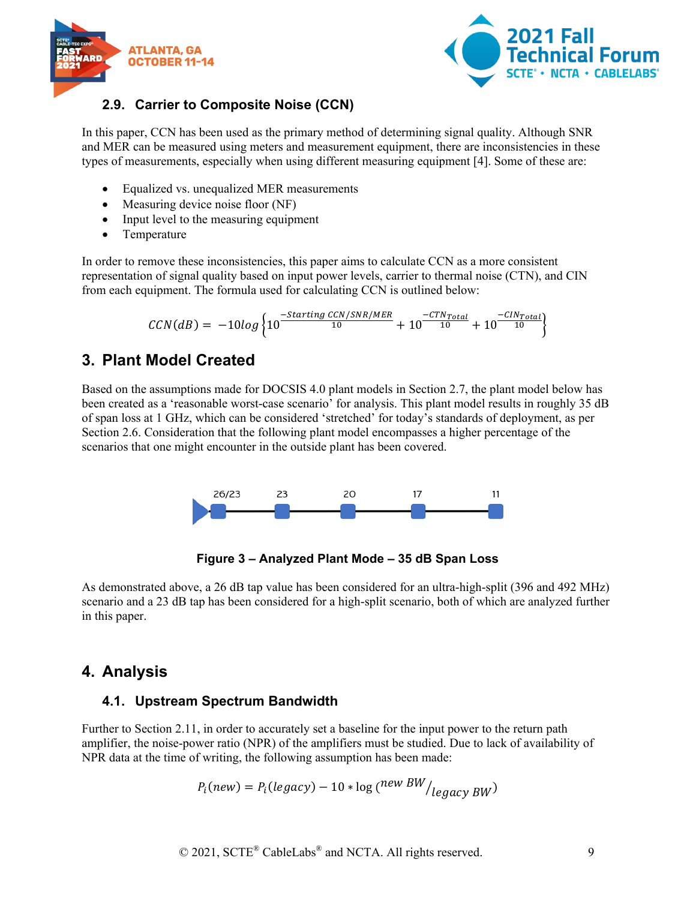



## <span id="page-8-0"></span>**2.9. Carrier to Composite Noise (CCN)**

In this paper, CCN has been used as the primary method of determining signal quality. Although SNR and MER can be measured using meters and measurement equipment, there are inconsistencies in these types of measurements, especially when using different measuring equipment [4]. Some of these are:

- Equalized vs. unequalized MER measurements
- Measuring device noise floor (NF)
- Input level to the measuring equipment
- Temperature

In order to remove these inconsistencies, this paper aims to calculate CCN as a more consistent representation of signal quality based on input power levels, carrier to thermal noise (CTN), and CIN from each equipment. The formula used for calculating CCN is outlined below:

$$
CCN(dB) = -10log \left\{ 10^{\frac{-Starting\ CCN/SNR/MER}{10}} + 10^{\frac{-CTN_{Total}}{10}} + 10^{\frac{-CIN_{Total}}{10}} \right\}
$$

# <span id="page-8-1"></span>**3. Plant Model Created**

Based on the assumptions made for DOCSIS 4.0 plant models in Section 2.7, the plant model below has been created as a 'reasonable worst-case scenario' for analysis. This plant model results in roughly 35 dB of span loss at 1 GHz, which can be considered 'stretched' for today's standards of deployment, as per Section 2.6. Consideration that the following plant model encompasses a higher percentage of the scenarios that one might encounter in the outside plant has been covered.



**Figure 3 – Analyzed Plant Mode – 35 dB Span Loss**

<span id="page-8-4"></span>As demonstrated above, a 26 dB tap value has been considered for an ultra-high-split (396 and 492 MHz) scenario and a 23 dB tap has been considered for a high-split scenario, both of which are analyzed further in this paper.

## <span id="page-8-2"></span>**4. Analysis**

## <span id="page-8-3"></span>**4.1. Upstream Spectrum Bandwidth**

Further to Section 2.11, in order to accurately set a baseline for the input power to the return path amplifier, the noise-power ratio (NPR) of the amplifiers must be studied. Due to lack of availability of NPR data at the time of writing, the following assumption has been made:

$$
P_i(new) = P_i(legacy) - 10 * \log(^{new\ BW}/_{legacy\ BW})
$$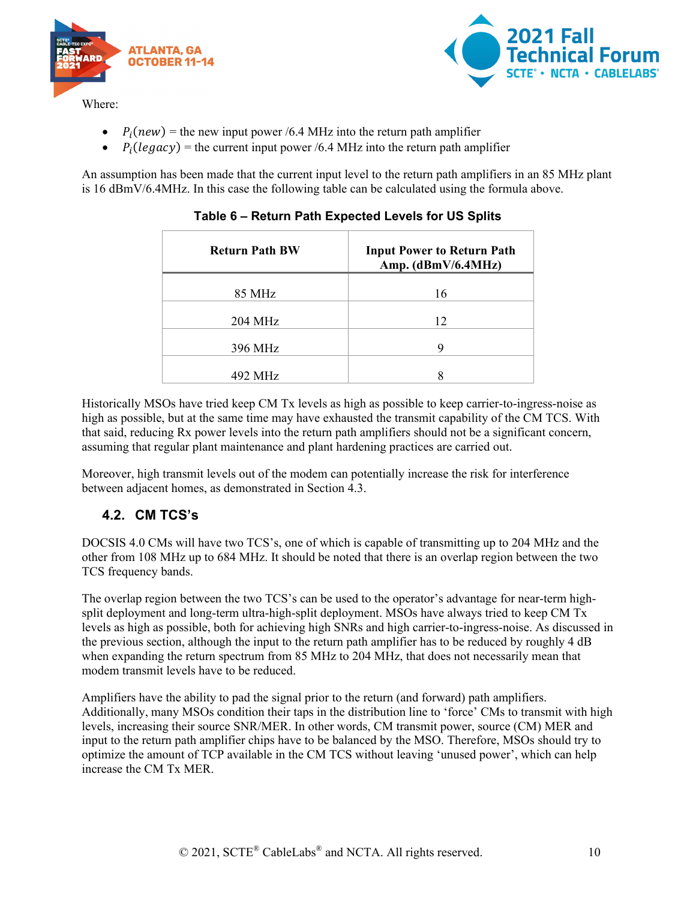



- $P_i(new)$  = the new input power /6.4 MHz into the return path amplifier<br>•  $P_i(leq acv)$  = the current input power /6.4 MHz into the return path amp
- $P_i (legacy)$  = the current input power /6.4 MHz into the return path amplifier

<span id="page-9-1"></span>An assumption has been made that the current input level to the return path amplifiers in an 85 MHz plant is 16 dBmV/6.4MHz. In this case the following table can be calculated using the formula above.

| <b>Return Path BW</b> | <b>Input Power to Return Path</b><br>Amp. (dBmV/6.4MHz) |
|-----------------------|---------------------------------------------------------|
|                       |                                                         |
| 85 MHz                | 16                                                      |
|                       |                                                         |
| $204 \text{ MHz}$     | 12                                                      |
|                       |                                                         |
| 396 MHz               | 9                                                       |
|                       |                                                         |
| 492 MHz               |                                                         |
|                       |                                                         |

#### **Table 6 – Return Path Expected Levels for US Splits**

Historically MSOs have tried keep CM Tx levels as high as possible to keep carrier-to-ingress-noise as high as possible, but at the same time may have exhausted the transmit capability of the CM TCS. With that said, reducing Rx power levels into the return path amplifiers should not be a significant concern, assuming that regular plant maintenance and plant hardening practices are carried out.

Moreover, high transmit levels out of the modem can potentially increase the risk for interference between adjacent homes, as demonstrated in Section 4.3.

## <span id="page-9-0"></span>**4.2. CM TCS's**

DOCSIS 4.0 CMs will have two TCS's, one of which is capable of transmitting up to 204 MHz and the other from 108 MHz up to 684 MHz. It should be noted that there is an overlap region between the two TCS frequency bands.

The overlap region between the two TCS's can be used to the operator's advantage for near-term highsplit deployment and long-term ultra-high-split deployment. MSOs have always tried to keep CM Tx levels as high as possible, both for achieving high SNRs and high carrier-to-ingress-noise. As discussed in the previous section, although the input to the return path amplifier has to be reduced by roughly 4 dB when expanding the return spectrum from 85 MHz to 204 MHz, that does not necessarily mean that modem transmit levels have to be reduced.

Amplifiers have the ability to pad the signal prior to the return (and forward) path amplifiers. Additionally, many MSOs condition their taps in the distribution line to 'force' CMs to transmit with high levels, increasing their source SNR/MER. In other words, CM transmit power, source (CM) MER and input to the return path amplifier chips have to be balanced by the MSO. Therefore, MSOs should try to optimize the amount of TCP available in the CM TCS without leaving 'unused power', which can help increase the CM Tx MER.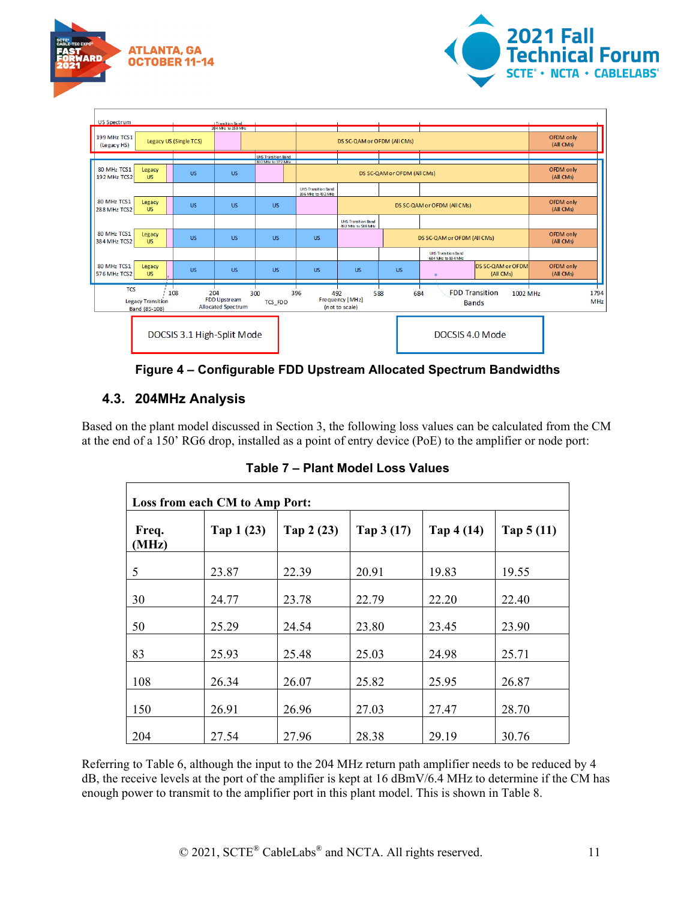



| <b>US Spectrum</b>          |                                           |                            | Transition Band<br>204 MHz to 258 MHz                   |                            |                                                  |                                                  |           |                                                  |                                                   |                        |
|-----------------------------|-------------------------------------------|----------------------------|---------------------------------------------------------|----------------------------|--------------------------------------------------|--------------------------------------------------|-----------|--------------------------------------------------|---------------------------------------------------|------------------------|
| 199 MHz TCS1<br>(Legacy HS) |                                           | Legacy US (Single TCS)     |                                                         |                            |                                                  | DS SC-QAM or OFDM (AIICMs)                       |           |                                                  |                                                   | OFDM only<br>(All CMs) |
|                             |                                           |                            |                                                         | <b>UHS Transition Band</b> |                                                  |                                                  |           |                                                  |                                                   |                        |
| 80 MHz TCS1<br>192 MHz TCS2 | Legacy<br><b>US</b>                       | <b>US</b>                  | <b>US</b>                                               | 300 MHz to 372 MHz         | DS SC-QAM or OFDM (AII CMs)                      |                                                  |           | OFDM only<br>(All CMs)                           |                                                   |                        |
|                             |                                           |                            |                                                         |                            | <b>UHS Transition Band</b><br>396 MHz to 492 MHz |                                                  |           |                                                  |                                                   |                        |
| 80 MHz TCS1<br>288 MHz TCS2 | Legacy<br><b>US</b>                       | <b>US</b>                  | <b>US</b>                                               | US.                        |                                                  |                                                  |           | DS SC-QAM or OFDM (AIICMs)                       |                                                   | OFDM only<br>(All CMs) |
|                             |                                           |                            |                                                         |                            |                                                  | <b>UHS Transition Band</b><br>492 MHz to 588 MHz |           |                                                  |                                                   |                        |
| 80 MHz TCS1<br>384 MHz TCS2 | Legacy<br><b>US</b>                       | <b>US</b>                  | <b>US</b>                                               | US.                        | <b>US</b>                                        |                                                  |           | DS SC-QAM or OFDM (AIICMs)                       |                                                   | OFDM only<br>(All CMs) |
|                             |                                           |                            |                                                         |                            |                                                  |                                                  |           | <b>UHS Transition Band</b><br>684 MHz to 834 MHz |                                                   |                        |
| 80 MHz TCS1<br>576 MHz TCS2 | Legacy<br><b>US</b>                       | <b>US</b>                  | <b>US</b>                                               | US.                        | <b>US</b>                                        | <b>US</b>                                        | <b>US</b> |                                                  | <b>DS SC-QAM or OFDM</b><br>(All CMs)             | OFDM only<br>(All CMs) |
| <b>TCS</b>                  | <b>Legacy Transition</b><br>Band (85-108) | 108                        | 204<br><b>FDD Upstream</b><br><b>Allocated Spectrum</b> | 300<br><b>TCS_FDD</b>      | 396<br>492                                       | 588<br>Frequency [MHz]<br>(not to scale)         | 684       |                                                  | <b>FDD Transition</b><br>1002 MHz<br><b>Bands</b> | 1794<br>MHz            |
|                             |                                           | DOCSIS 3.1 High-Split Mode |                                                         |                            |                                                  |                                                  |           | DOCSIS 4.0 Mode                                  |                                                   |                        |

**Figure 4 – Configurable FDD Upstream Allocated Spectrum Bandwidths**

## <span id="page-10-1"></span><span id="page-10-0"></span>**4.3. 204MHz Analysis**

<span id="page-10-2"></span>Based on the plant model discussed in Section 3, the following loss values can be calculated from the CM at the end of a 150' RG6 drop, installed as a point of entry device (PoE) to the amplifier or node port:

| Loss from each CM to Amp Port: |            |             |            |             |             |  |  |  |
|--------------------------------|------------|-------------|------------|-------------|-------------|--|--|--|
| Freq.<br>(MHz)                 | Tap 1 (23) | Tap $2(23)$ | Tap 3 (17) | Tap $4(14)$ | Tap $5(11)$ |  |  |  |
| 5                              | 23.87      | 22.39       | 20.91      | 19.83       | 19.55       |  |  |  |
| 30                             | 24.77      | 23.78       | 22.79      | 22.20       | 22.40       |  |  |  |
| 50                             | 25.29      | 24.54       | 23.80      | 23.45       | 23.90       |  |  |  |
| 83                             | 25.93      | 25.48       | 25.03      | 24.98       | 25.71       |  |  |  |
| 108                            | 26.34      | 26.07       | 25.82      | 25.95       | 26.87       |  |  |  |
| 150                            | 26.91      | 26.96       | 27.03      | 27.47       | 28.70       |  |  |  |
| 204                            | 27.54      | 27.96       | 28.38      | 29.19       | 30.76       |  |  |  |

**Table 7 – Plant Model Loss Values** 

Referring to Table 6, although the input to the 204 MHz return path amplifier needs to be reduced by 4 dB, the receive levels at the port of the amplifier is kept at 16 dBmV/6.4 MHz to determine if the CM has enough power to transmit to the amplifier port in this plant model. This is shown in Table 8.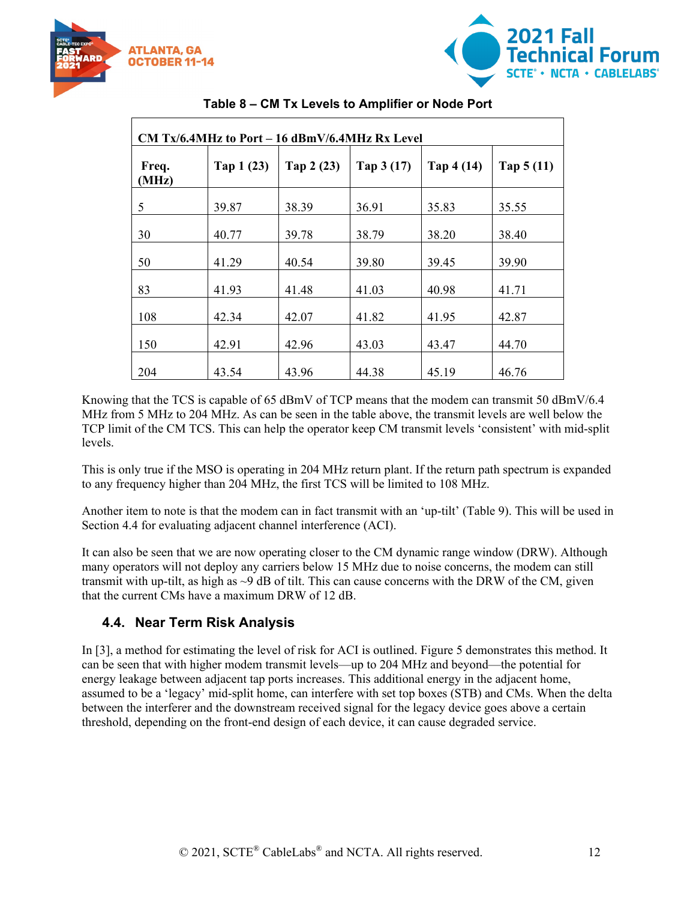



<span id="page-11-1"></span>

| CM Tx/6.4MHz to Port $-16$ dBmV/6.4MHz Rx Level |            |             |             |            |             |  |  |
|-------------------------------------------------|------------|-------------|-------------|------------|-------------|--|--|
| Freq.<br>(MHz)                                  | Tap 1 (23) | Tap $2(23)$ | Tap $3(17)$ | Tap 4 (14) | Tap $5(11)$ |  |  |
| 5                                               | 39.87      | 38.39       | 36.91       | 35.83      | 35.55       |  |  |
| 30                                              | 40.77      | 39.78       | 38.79       | 38.20      | 38.40       |  |  |
| 50                                              | 41.29      | 40.54       | 39.80       | 39.45      | 39.90       |  |  |
| 83                                              | 41.93      | 41.48       | 41.03       | 40.98      | 41.71       |  |  |
| 108                                             | 42.34      | 42.07       | 41.82       | 41.95      | 42.87       |  |  |
| 150                                             | 42.91      | 42.96       | 43.03       | 43.47      | 44.70       |  |  |
| 204                                             | 43.54      | 43.96       | 44.38       | 45.19      | 46.76       |  |  |

#### **Table 8 – CM Tx Levels to Amplifier or Node Port**

Knowing that the TCS is capable of 65 dBmV of TCP means that the modem can transmit 50 dBmV/6.4 MHz from 5 MHz to 204 MHz. As can be seen in the table above, the transmit levels are well below the TCP limit of the CM TCS. This can help the operator keep CM transmit levels 'consistent' with mid-split levels.

This is only true if the MSO is operating in 204 MHz return plant. If the return path spectrum is expanded to any frequency higher than 204 MHz, the first TCS will be limited to 108 MHz.

Another item to note is that the modem can in fact transmit with an 'up-tilt' (Table 9). This will be used in Section 4.4 for evaluating adjacent channel interference (ACI).

It can also be seen that we are now operating closer to the CM dynamic range window (DRW). Although many operators will not deploy any carriers below 15 MHz due to noise concerns, the modem can still transmit with up-tilt, as high as  $\sim$ 9 dB of tilt. This can cause concerns with the DRW of the CM, given that the current CMs have a maximum DRW of 12 dB.

## <span id="page-11-0"></span>**4.4. Near Term Risk Analysis**

In [3], a method for estimating the level of risk for ACI is outlined. Figure 5 demonstrates this method. It can be seen that with higher modem transmit levels—up to 204 MHz and beyond—the potential for energy leakage between adjacent tap ports increases. This additional energy in the adjacent home, assumed to be a 'legacy' mid-split home, can interfere with set top boxes (STB) and CMs. When the delta between the interferer and the downstream received signal for the legacy device goes above a certain threshold, depending on the front-end design of each device, it can cause degraded service.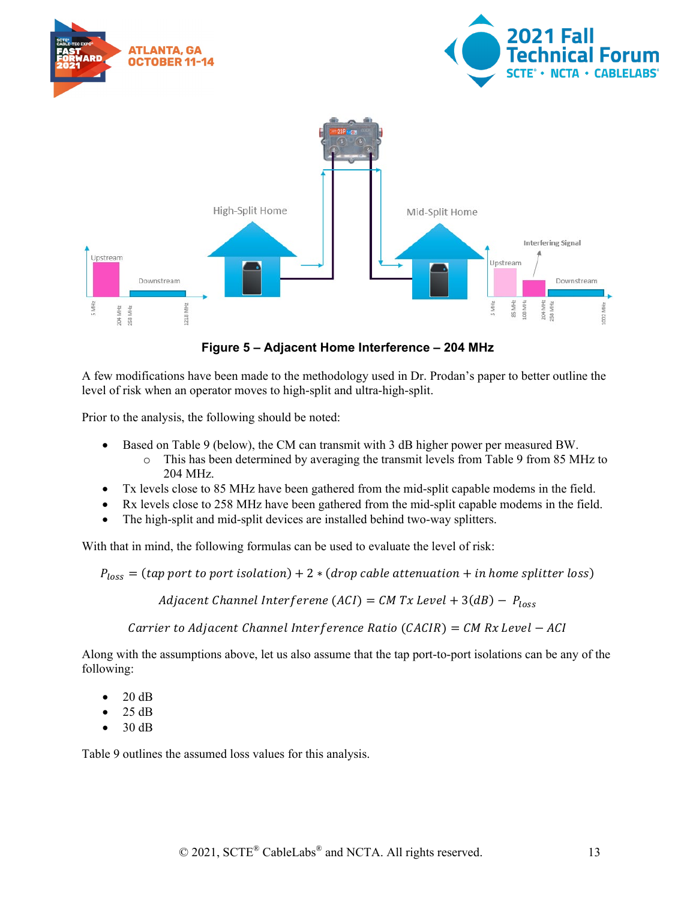

**Figure 5 – Adjacent Home Interference – 204 MHz**

<span id="page-12-0"></span>A few modifications have been made to the methodology used in Dr. Prodan's paper to better outline the level of risk when an operator moves to high-split and ultra-high-split.

Prior to the analysis, the following should be noted:

- Based on Table 9 (below), the CM can transmit with 3 dB higher power per measured BW.
	- o This has been determined by averaging the transmit levels from Table 9 from 85 MHz to 204 MHz.
- Tx levels close to 85 MHz have been gathered from the mid-split capable modems in the field.
- Rx levels close to 258 MHz have been gathered from the mid-split capable modems in the field.
- The high-split and mid-split devices are installed behind two-way splitters.

With that in mind, the following formulas can be used to evaluate the level of risk:

 $P_{loss}$  = (tap port to port isolation) + 2  $*$  (drop cable attenuation + in home splitter loss)

Adjacent Channel Interferene (ACI) =  $CM Tx$  Level + 3(dB) -  $P_{loss}$ 

Carrier to Adjacent Channel Interference Ratio (CACIR) =  $CM Rx$  Level  $- ACI$ 

Along with the assumptions above, let us also assume that the tap port-to-port isolations can be any of the following:

- 20 dB
- 25 dB
- 30 dB

Table 9 outlines the assumed loss values for this analysis.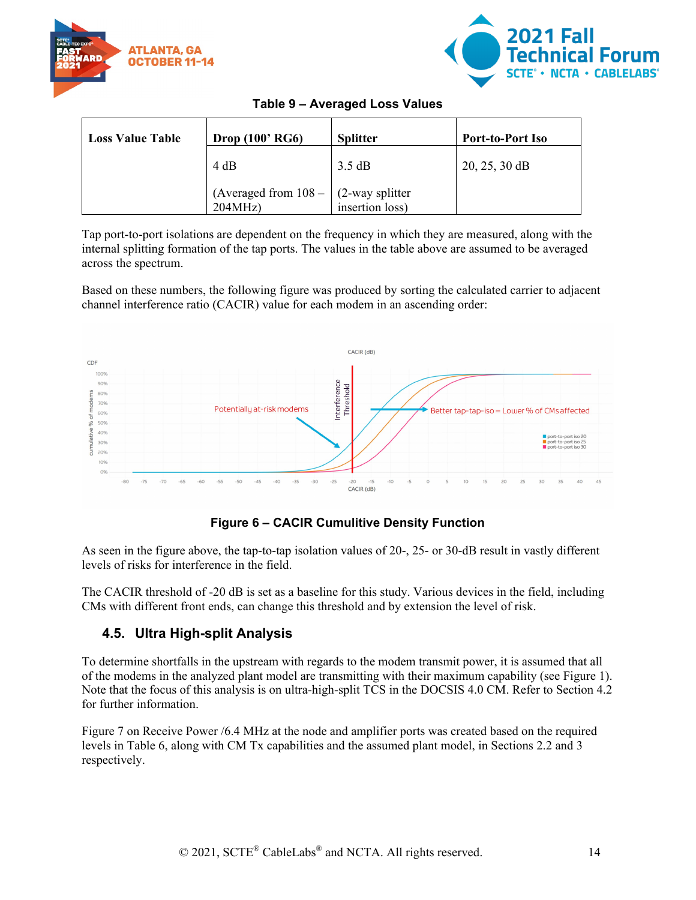



<span id="page-13-2"></span>

| <b>Loss Value Table</b> | Drop $(100' RG6)$                                 | <b>Splitter</b> | <b>Port-to-Port Iso</b> |
|-------------------------|---------------------------------------------------|-----------------|-------------------------|
|                         | 4 dB                                              | 3.5 dB          | $20, 25, 30$ dB         |
|                         | (Averaged from $108 - (2$ -way splitter<br>204MHz | insertion loss) |                         |

Tap port-to-port isolations are dependent on the frequency in which they are measured, along with the internal splitting formation of the tap ports. The values in the table above are assumed to be averaged across the spectrum.

Based on these numbers, the following figure was produced by sorting the calculated carrier to adjacent channel interference ratio (CACIR) value for each modem in an ascending order:



## **Figure 6 – CACIR Cumulitive Density Function**

<span id="page-13-1"></span>As seen in the figure above, the tap-to-tap isolation values of 20-, 25- or 30-dB result in vastly different levels of risks for interference in the field.

The CACIR threshold of -20 dB is set as a baseline for this study. Various devices in the field, including CMs with different front ends, can change this threshold and by extension the level of risk.

## <span id="page-13-0"></span>**4.5. Ultra High-split Analysis**

To determine shortfalls in the upstream with regards to the modem transmit power, it is assumed that all of the modems in the analyzed plant model are transmitting with their maximum capability (see Figure 1). Note that the focus of this analysis is on ultra-high-split TCS in the DOCSIS 4.0 CM. Refer to Section 4.2 for further information.

Figure 7 on Receive Power /6.4 MHz at the node and amplifier ports was created based on the required levels in Table 6, along with CM Tx capabilities and the assumed plant model, in Sections 2.2 and 3 respectively.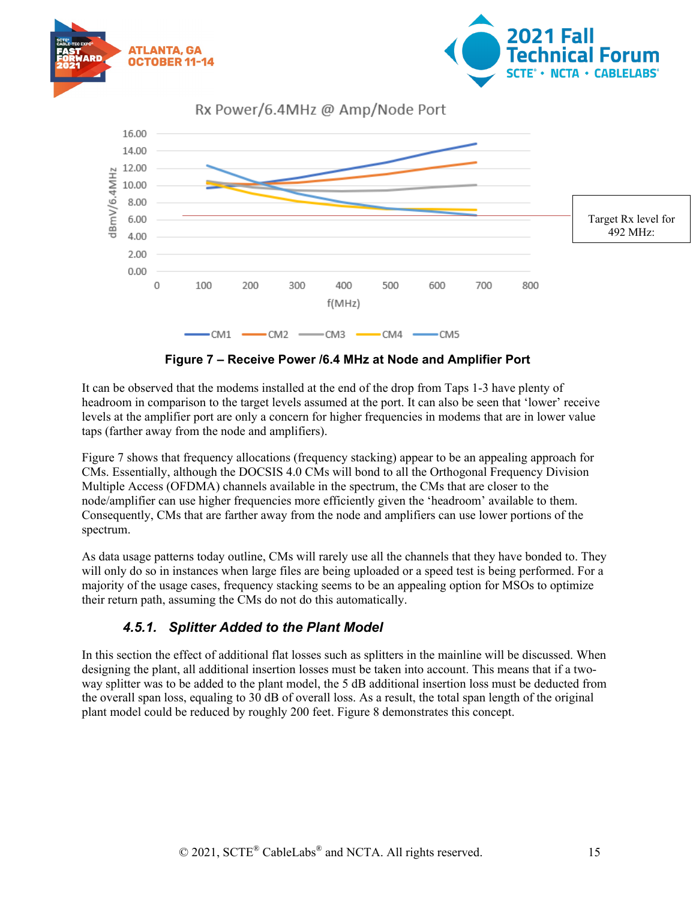



Rx Power/6.4MHz @ Amp/Node Port



**Figure 7 – Receive Power /6.4 MHz at Node and Amplifier Port**

<span id="page-14-1"></span>It can be observed that the modems installed at the end of the drop from Taps 1-3 have plenty of headroom in comparison to the target levels assumed at the port. It can also be seen that 'lower' receive levels at the amplifier port are only a concern for higher frequencies in modems that are in lower value taps (farther away from the node and amplifiers).

Figure 7 shows that frequency allocations (frequency stacking) appear to be an appealing approach for CMs. Essentially, although the DOCSIS 4.0 CMs will bond to all the Orthogonal Frequency Division Multiple Access (OFDMA) channels available in the spectrum, the CMs that are closer to the node/amplifier can use higher frequencies more efficiently given the 'headroom' available to them. Consequently, CMs that are farther away from the node and amplifiers can use lower portions of the spectrum.

As data usage patterns today outline, CMs will rarely use all the channels that they have bonded to. They will only do so in instances when large files are being uploaded or a speed test is being performed. For a majority of the usage cases, frequency stacking seems to be an appealing option for MSOs to optimize their return path, assuming the CMs do not do this automatically.

## *4.5.1. Splitter Added to the Plant Model*

<span id="page-14-0"></span>In this section the effect of additional flat losses such as splitters in the mainline will be discussed. When designing the plant, all additional insertion losses must be taken into account. This means that if a twoway splitter was to be added to the plant model, the 5 dB additional insertion loss must be deducted from the overall span loss, equaling to 30 dB of overall loss. As a result, the total span length of the original plant model could be reduced by roughly 200 feet. Figure 8 demonstrates this concept.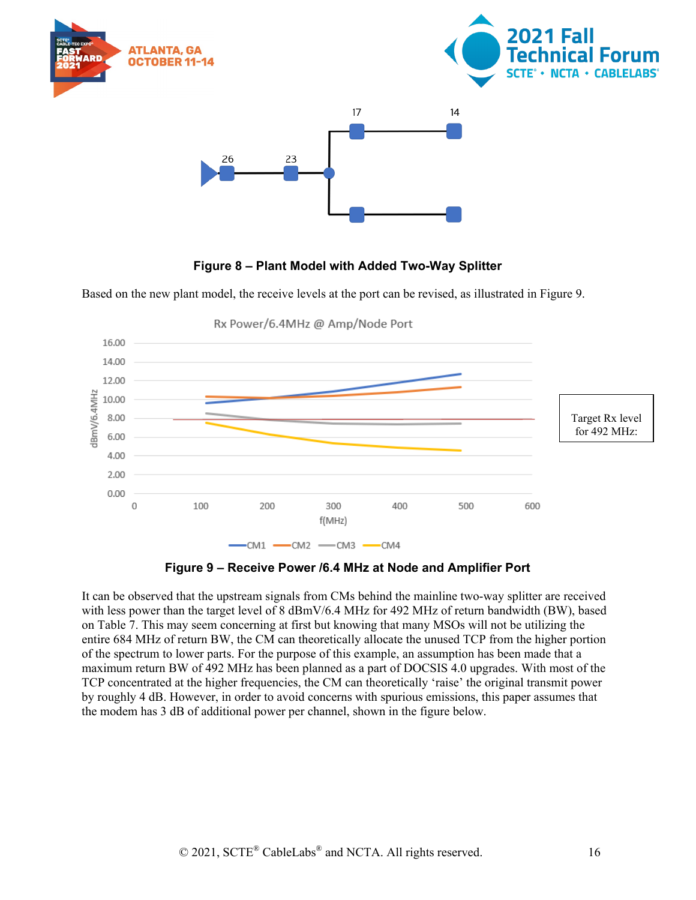

#### **Figure 8 – Plant Model with Added Two-Way Splitter**

<span id="page-15-0"></span>Based on the new plant model, the receive levels at the port can be revised, as illustrated in Figure 9.





<span id="page-15-1"></span>It can be observed that the upstream signals from CMs behind the mainline two-way splitter are received with less power than the target level of 8 dBmV/6.4 MHz for 492 MHz of return bandwidth (BW), based on Table 7. This may seem concerning at first but knowing that many MSOs will not be utilizing the entire 684 MHz of return BW, the CM can theoretically allocate the unused TCP from the higher portion of the spectrum to lower parts. For the purpose of this example, an assumption has been made that a maximum return BW of 492 MHz has been planned as a part of DOCSIS 4.0 upgrades. With most of the TCP concentrated at the higher frequencies, the CM can theoretically 'raise' the original transmit power by roughly 4 dB. However, in order to avoid concerns with spurious emissions, this paper assumes that the modem has 3 dB of additional power per channel, shown in the figure below.

al Forum:

**NCTA · CABLELABS®**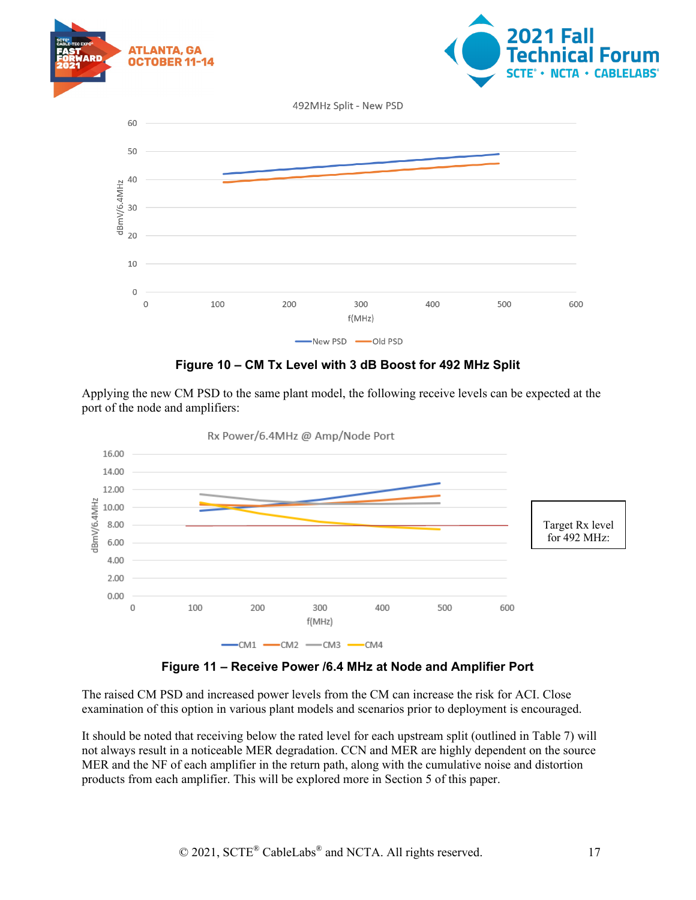

#### **Figure 10 – CM Tx Level with 3 dB Boost for 492 MHz Split**

<span id="page-16-0"></span>Applying the new CM PSD to the same plant model, the following receive levels can be expected at the port of the node and amplifiers:



Rx Power/6.4MHz @ Amp/Node Port

**Figure 11 – Receive Power /6.4 MHz at Node and Amplifier Port**

<span id="page-16-1"></span>The raised CM PSD and increased power levels from the CM can increase the risk for ACI. Close examination of this option in various plant models and scenarios prior to deployment is encouraged.

It should be noted that receiving below the rated level for each upstream split (outlined in Table 7) will not always result in a noticeable MER degradation. CCN and MER are highly dependent on the source MER and the NF of each amplifier in the return path, along with the cumulative noise and distortion products from each amplifier. This will be explored more in Section 5 of this paper.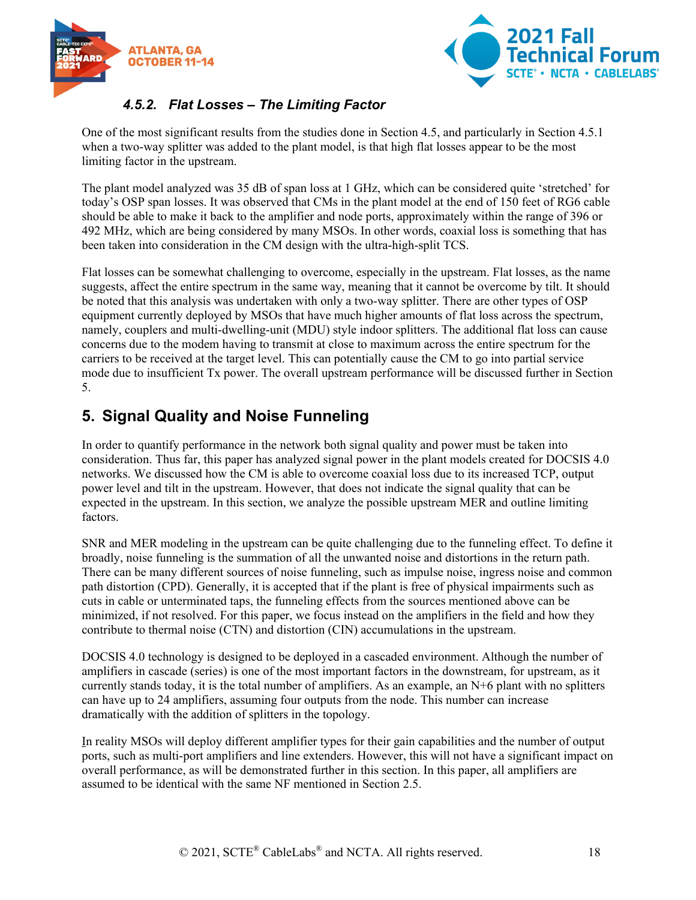



## *4.5.2. Flat Losses – The Limiting Factor*

<span id="page-17-0"></span>One of the most significant results from the studies done in Section 4.5, and particularly in Section 4.5.1 when a two-way splitter was added to the plant model, is that high flat losses appear to be the most limiting factor in the upstream.

The plant model analyzed was 35 dB of span loss at 1 GHz, which can be considered quite 'stretched' for today's OSP span losses. It was observed that CMs in the plant model at the end of 150 feet of RG6 cable should be able to make it back to the amplifier and node ports, approximately within the range of 396 or 492 MHz, which are being considered by many MSOs. In other words, coaxial loss is something that has been taken into consideration in the CM design with the ultra-high-split TCS.

Flat losses can be somewhat challenging to overcome, especially in the upstream. Flat losses, as the name suggests, affect the entire spectrum in the same way, meaning that it cannot be overcome by tilt. It should be noted that this analysis was undertaken with only a two-way splitter. There are other types of OSP equipment currently deployed by MSOs that have much higher amounts of flat loss across the spectrum, namely, couplers and multi-dwelling-unit (MDU) style indoor splitters. The additional flat loss can cause concerns due to the modem having to transmit at close to maximum across the entire spectrum for the carriers to be received at the target level. This can potentially cause the CM to go into partial service mode due to insufficient Tx power. The overall upstream performance will be discussed further in Section 5.

# <span id="page-17-1"></span>**5. Signal Quality and Noise Funneling**

In order to quantify performance in the network both signal quality and power must be taken into consideration. Thus far, this paper has analyzed signal power in the plant models created for DOCSIS 4.0 networks. We discussed how the CM is able to overcome coaxial loss due to its increased TCP, output power level and tilt in the upstream. However, that does not indicate the signal quality that can be expected in the upstream. In this section, we analyze the possible upstream MER and outline limiting factors.

SNR and MER modeling in the upstream can be quite challenging due to the funneling effect. To define it broadly, noise funneling is the summation of all the unwanted noise and distortions in the return path. There can be many different sources of noise funneling, such as impulse noise, ingress noise and common path distortion (CPD). Generally, it is accepted that if the plant is free of physical impairments such as cuts in cable or unterminated taps, the funneling effects from the sources mentioned above can be minimized, if not resolved. For this paper, we focus instead on the amplifiers in the field and how they contribute to thermal noise (CTN) and distortion (CIN) accumulations in the upstream.

DOCSIS 4.0 technology is designed to be deployed in a cascaded environment. Although the number of amplifiers in cascade (series) is one of the most important factors in the downstream, for upstream, as it currently stands today, it is the total number of amplifiers. As an example, an N+6 plant with no splitters can have up to 24 amplifiers, assuming four outputs from the node. This number can increase dramatically with the addition of splitters in the topology.

In reality MSOs will deploy different amplifier types for their gain capabilities and the number of output ports, such as multi-port amplifiers and line extenders. However, this will not have a significant impact on overall performance, as will be demonstrated further in this section. In this paper, all amplifiers are assumed to be identical with the same NF mentioned in Section 2.5.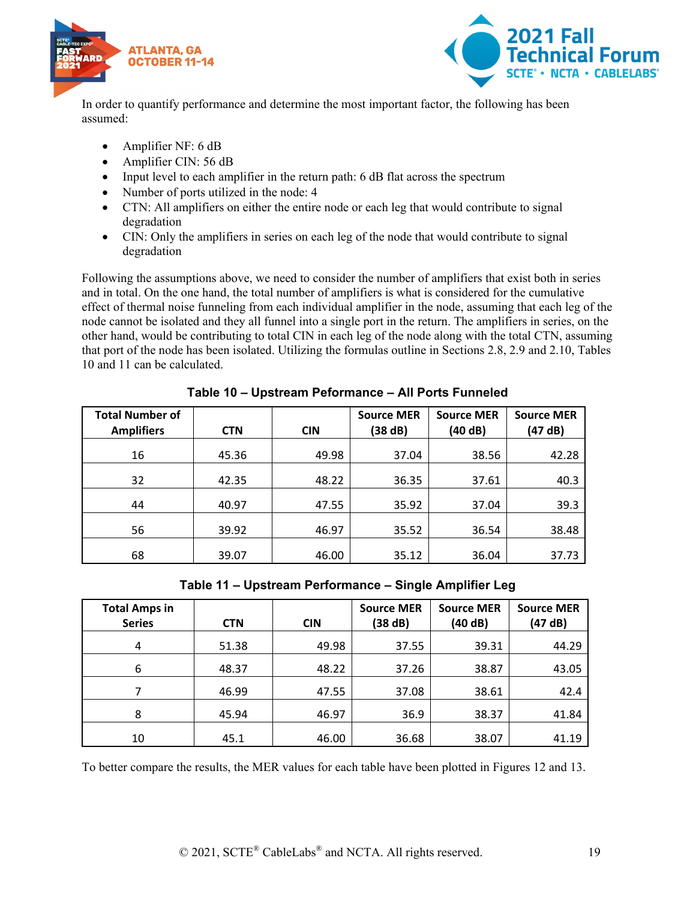



In order to quantify performance and determine the most important factor, the following has been assumed:

- Amplifier NF: 6 dB
- Amplifier CIN: 56 dB
- Input level to each amplifier in the return path: 6 dB flat across the spectrum
- Number of ports utilized in the node: 4
- CTN: All amplifiers on either the entire node or each leg that would contribute to signal degradation
- CIN: Only the amplifiers in series on each leg of the node that would contribute to signal degradation

Following the assumptions above, we need to consider the number of amplifiers that exist both in series and in total. On the one hand, the total number of amplifiers is what is considered for the cumulative effect of thermal noise funneling from each individual amplifier in the node, assuming that each leg of the node cannot be isolated and they all funnel into a single port in the return. The amplifiers in series, on the other hand, would be contributing to total CIN in each leg of the node along with the total CTN, assuming that port of the node has been isolated. Utilizing the formulas outline in Sections 2.8, 2.9 and 2.10, Tables 10 and 11 can be calculated.

<span id="page-18-0"></span>

| <b>Total Number of</b><br><b>Amplifiers</b> | <b>CTN</b> | <b>CIN</b> | <b>Source MER</b><br>(38 dB) | <b>Source MER</b><br>(40 dB) | <b>Source MER</b><br>(47 dB) |
|---------------------------------------------|------------|------------|------------------------------|------------------------------|------------------------------|
| 16                                          | 45.36      | 49.98      | 37.04                        | 38.56                        | 42.28                        |
| 32                                          | 42.35      | 48.22      | 36.35                        | 37.61                        | 40.3                         |
| 44                                          | 40.97      | 47.55      | 35.92                        | 37.04                        | 39.3                         |
| 56                                          | 39.92      | 46.97      | 35.52                        | 36.54                        | 38.48                        |
| 68                                          | 39.07      | 46.00      | 35.12                        | 36.04                        | 37.73                        |

**Table 10 – Upstream Peformance – All Ports Funneled**

**Table 11 – Upstream Performance – Single Amplifier Leg**

<span id="page-18-1"></span>

| <b>Total Amps in</b><br><b>Series</b> | <b>CTN</b> | <b>CIN</b> | <b>Source MER</b><br>(38 dB) | <b>Source MER</b><br>(40 dB) | <b>Source MER</b><br>(47 dB) |
|---------------------------------------|------------|------------|------------------------------|------------------------------|------------------------------|
| 4                                     | 51.38      | 49.98      | 37.55                        | 39.31                        | 44.29                        |
| 6                                     | 48.37      | 48.22      | 37.26                        | 38.87                        | 43.05                        |
| 7                                     | 46.99      | 47.55      | 37.08                        | 38.61                        | 42.4                         |
| 8                                     | 45.94      | 46.97      | 36.9                         | 38.37                        | 41.84                        |
| 10                                    | 45.1       | 46.00      | 36.68                        | 38.07                        | 41.19                        |

To better compare the results, the MER values for each table have been plotted in Figures 12 and 13.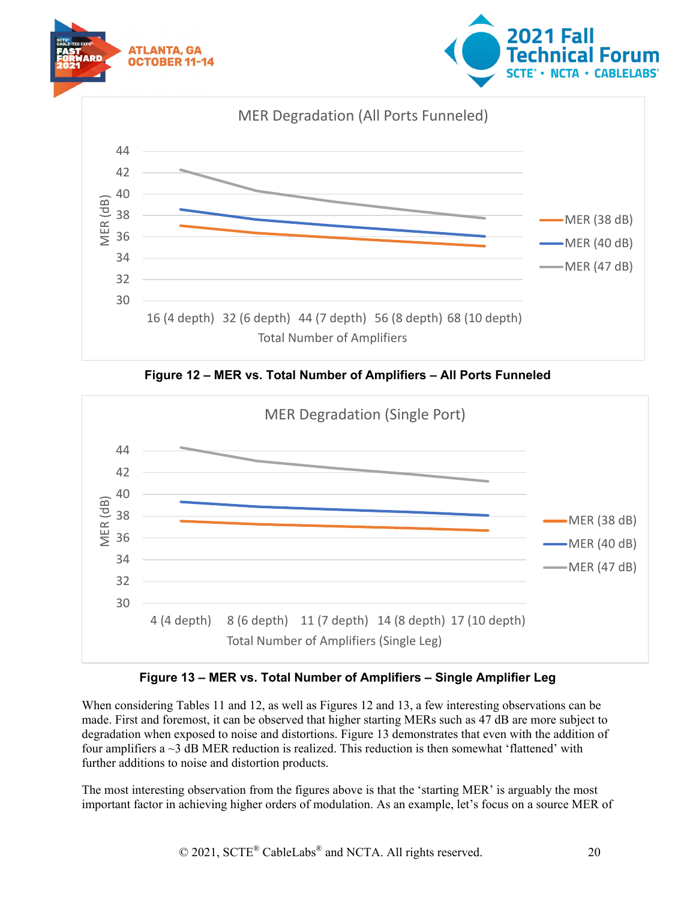







<span id="page-19-0"></span>

## **Figure 13 – MER vs. Total Number of Amplifiers – Single Amplifier Leg**

<span id="page-19-1"></span>When considering Tables 11 and 12, as well as Figures 12 and 13, a few interesting observations can be made. First and foremost, it can be observed that higher starting MERs such as 47 dB are more subject to degradation when exposed to noise and distortions. Figure 13 demonstrates that even with the addition of four amplifiers a ~3 dB MER reduction is realized. This reduction is then somewhat 'flattened' with further additions to noise and distortion products.

The most interesting observation from the figures above is that the 'starting MER' is arguably the most important factor in achieving higher orders of modulation. As an example, let's focus on a source MER of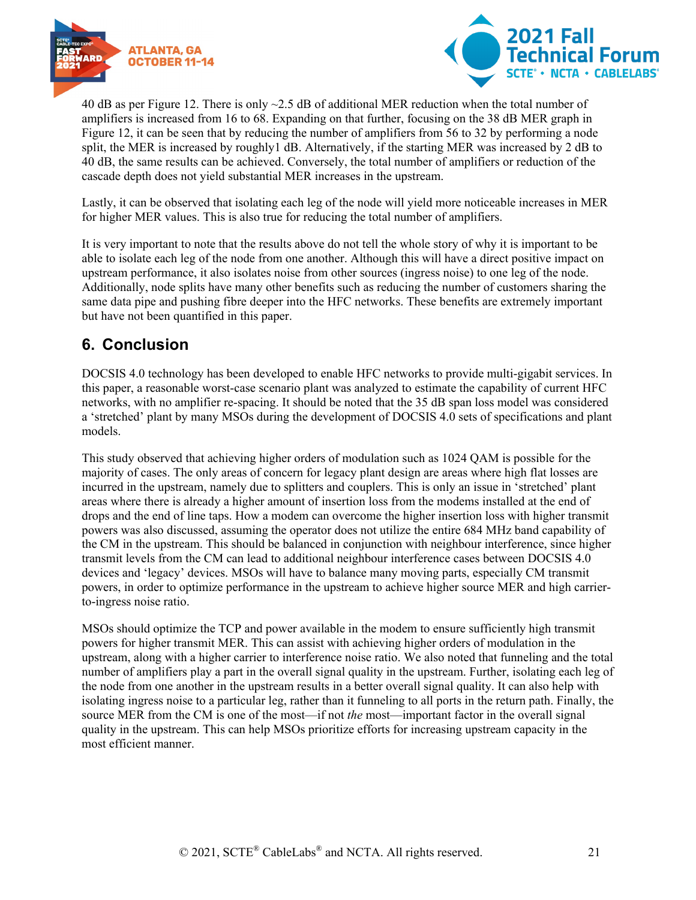



40 dB as per Figure 12. There is only ~2.5 dB of additional MER reduction when the total number of amplifiers is increased from 16 to 68. Expanding on that further, focusing on the 38 dB MER graph in Figure 12, it can be seen that by reducing the number of amplifiers from 56 to 32 by performing a node split, the MER is increased by roughly1 dB. Alternatively, if the starting MER was increased by 2 dB to 40 dB, the same results can be achieved. Conversely, the total number of amplifiers or reduction of the cascade depth does not yield substantial MER increases in the upstream.

Lastly, it can be observed that isolating each leg of the node will yield more noticeable increases in MER for higher MER values. This is also true for reducing the total number of amplifiers.

It is very important to note that the results above do not tell the whole story of why it is important to be able to isolate each leg of the node from one another. Although this will have a direct positive impact on upstream performance, it also isolates noise from other sources (ingress noise) to one leg of the node. Additionally, node splits have many other benefits such as reducing the number of customers sharing the same data pipe and pushing fibre deeper into the HFC networks. These benefits are extremely important but have not been quantified in this paper.

# <span id="page-20-0"></span>**6. Conclusion**

DOCSIS 4.0 technology has been developed to enable HFC networks to provide multi-gigabit services. In this paper, a reasonable worst-case scenario plant was analyzed to estimate the capability of current HFC networks, with no amplifier re-spacing. It should be noted that the 35 dB span loss model was considered a 'stretched' plant by many MSOs during the development of DOCSIS 4.0 sets of specifications and plant models.

This study observed that achieving higher orders of modulation such as 1024 QAM is possible for the majority of cases. The only areas of concern for legacy plant design are areas where high flat losses are incurred in the upstream, namely due to splitters and couplers. This is only an issue in 'stretched' plant areas where there is already a higher amount of insertion loss from the modems installed at the end of drops and the end of line taps. How a modem can overcome the higher insertion loss with higher transmit powers was also discussed, assuming the operator does not utilize the entire 684 MHz band capability of the CM in the upstream. This should be balanced in conjunction with neighbour interference, since higher transmit levels from the CM can lead to additional neighbour interference cases between DOCSIS 4.0 devices and 'legacy' devices. MSOs will have to balance many moving parts, especially CM transmit powers, in order to optimize performance in the upstream to achieve higher source MER and high carrierto-ingress noise ratio.

MSOs should optimize the TCP and power available in the modem to ensure sufficiently high transmit powers for higher transmit MER. This can assist with achieving higher orders of modulation in the upstream, along with a higher carrier to interference noise ratio. We also noted that funneling and the total number of amplifiers play a part in the overall signal quality in the upstream. Further, isolating each leg of the node from one another in the upstream results in a better overall signal quality. It can also help with isolating ingress noise to a particular leg, rather than it funneling to all ports in the return path. Finally, the source MER from the CM is one of the most—if not *the* most—important factor in the overall signal quality in the upstream. This can help MSOs prioritize efforts for increasing upstream capacity in the most efficient manner.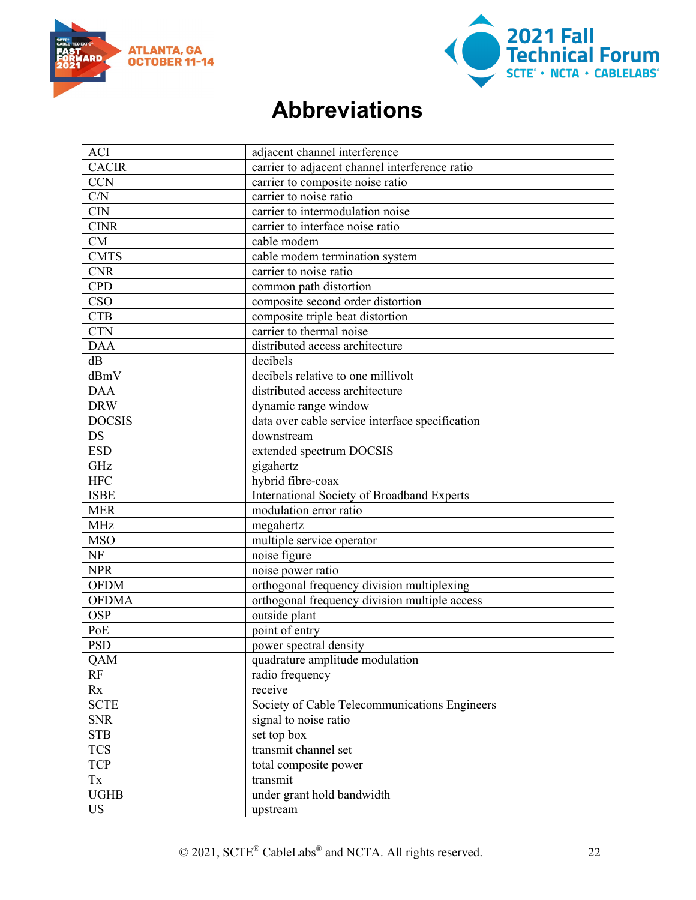



# **Abbreviations**

<span id="page-21-0"></span>

| <b>ACI</b>    | adjacent channel interference                   |  |
|---------------|-------------------------------------------------|--|
| <b>CACIR</b>  | carrier to adjacent channel interference ratio  |  |
| <b>CCN</b>    | carrier to composite noise ratio                |  |
| C/N           | carrier to noise ratio                          |  |
| CIN           | carrier to intermodulation noise                |  |
| <b>CINR</b>   | carrier to interface noise ratio                |  |
| CM            | cable modem                                     |  |
| <b>CMTS</b>   | cable modem termination system                  |  |
| <b>CNR</b>    | carrier to noise ratio                          |  |
| <b>CPD</b>    | common path distortion                          |  |
| <b>CSO</b>    | composite second order distortion               |  |
| <b>CTB</b>    | composite triple beat distortion                |  |
| <b>CTN</b>    | carrier to thermal noise                        |  |
| <b>DAA</b>    | distributed access architecture                 |  |
| dB            | decibels                                        |  |
| dBmV          | decibels relative to one millivolt              |  |
| <b>DAA</b>    | distributed access architecture                 |  |
| <b>DRW</b>    | dynamic range window                            |  |
| <b>DOCSIS</b> | data over cable service interface specification |  |
| <b>DS</b>     | downstream                                      |  |
| <b>ESD</b>    | extended spectrum DOCSIS                        |  |
| GHz           | gigahertz                                       |  |
| <b>HFC</b>    | hybrid fibre-coax                               |  |
| <b>ISBE</b>   | International Society of Broadband Experts      |  |
| <b>MER</b>    | modulation error ratio                          |  |
| <b>MHz</b>    | megahertz                                       |  |
| <b>MSO</b>    | multiple service operator                       |  |
| <b>NF</b>     | noise figure                                    |  |
| <b>NPR</b>    | noise power ratio                               |  |
| <b>OFDM</b>   | orthogonal frequency division multiplexing      |  |
| <b>OFDMA</b>  | orthogonal frequency division multiple access   |  |
| <b>OSP</b>    | outside plant                                   |  |
| PoE           | point of entry                                  |  |
| <b>PSD</b>    | power spectral density                          |  |
| <b>QAM</b>    | quadrature amplitude modulation                 |  |
| RF            | radio frequency                                 |  |
| Rx            | receive                                         |  |
| <b>SCTE</b>   | Society of Cable Telecommunications Engineers   |  |
| <b>SNR</b>    | signal to noise ratio                           |  |
| <b>STB</b>    | set top box                                     |  |
| <b>TCS</b>    | transmit channel set                            |  |
| <b>TCP</b>    | total composite power                           |  |
| Tx            | transmit                                        |  |
| <b>UGHB</b>   | under grant hold bandwidth                      |  |
| <b>US</b>     | upstream                                        |  |